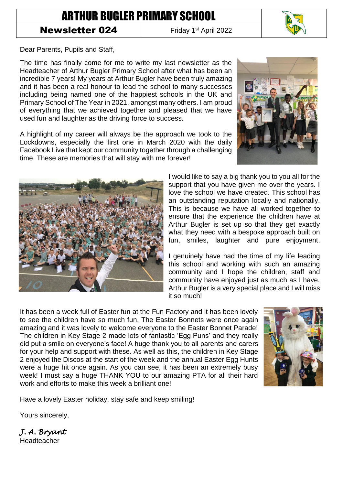## ARTHUR BUGLER PRIMARY SCHOOL

## Newsletter 024

Friday 1<sup>st</sup> April 2022

Dear Parents, Pupils and Staff,

The time has finally come for me to write my last newsletter as the Headteacher of Arthur Bugler Primary School after what has been an incredible 7 years! My years at Arthur Bugler have been truly amazing and it has been a real honour to lead the school to many successes including being named one of the happiest schools in the UK and Primary School of The Year in 2021, amongst many others. I am proud of everything that we achieved together and pleased that we have used fun and laughter as the driving force to success.

A highlight of my career will always be the approach we took to the Lockdowns, especially the first one in March 2020 with the daily Facebook Live that kept our community together through a challenging time. These are memories that will stay with me forever!

> I would like to say a big thank you to you all for the support that you have given me over the years. I love the school we have created. This school has an outstanding reputation locally and nationally. This is because we have all worked together to ensure that the experience the children have at Arthur Bugler is set up so that they get exactly what they need with a bespoke approach built on fun, smiles, laughter and pure enjoyment.

> I genuinely have had the time of my life leading this school and working with such an amazing community and I hope the children, staff and community have enjoyed just as much as I have. Arthur Bugler is a very special place and I will miss it so much!

It has been a week full of Easter fun at the Fun Factory and it has been lovely to see the children have so much fun. The Easter Bonnets were once again amazing and it was lovely to welcome everyone to the Easter Bonnet Parade! The children in Key Stage 2 made lots of fantastic 'Egg Puns' and they really did put a smile on everyone's face! A huge thank you to all parents and carers for your help and support with these. As well as this, the children in Key Stage 2 enjoyed the Discos at the start of the week and the annual Easter Egg Hunts were a huge hit once again. As you can see, it has been an extremely busy week! I must say a huge THANK YOU to our amazing PTA for all their hard work and efforts to make this week a brilliant one!

Have a lovely Easter holiday, stay safe and keep smiling!

Yours sincerely,

*J. A. Bryant*  Headteacher